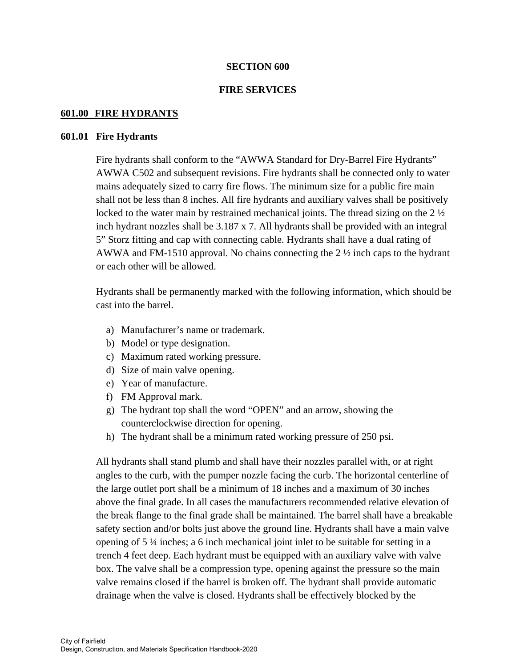### **SECTION 600**

### **FIRE SERVICES**

### **601.00 FIRE HYDRANTS**

#### **601.01 Fire Hydrants**

Fire hydrants shall conform to the "AWWA Standard for Dry-Barrel Fire Hydrants" AWWA C502 and subsequent revisions. Fire hydrants shall be connected only to water mains adequately sized to carry fire flows. The minimum size for a public fire main shall not be less than 8 inches. All fire hydrants and auxiliary valves shall be positively locked to the water main by restrained mechanical joints. The thread sizing on the  $2\frac{1}{2}$ inch hydrant nozzles shall be 3.187 x 7. All hydrants shall be provided with an integral 5" Storz fitting and cap with connecting cable. Hydrants shall have a dual rating of AWWA and FM-1510 approval. No chains connecting the 2 ½ inch caps to the hydrant or each other will be allowed.

 Hydrants shall be permanently marked with the following information, which should be cast into the barrel.

- a) Manufacturer's name or trademark.
- b) Model or type designation.
- c) Maximum rated working pressure.
- d) Size of main valve opening.
- e) Year of manufacture.
- f) FM Approval mark.
- g) The hydrant top shall the word "OPEN" and an arrow, showing the counterclockwise direction for opening.
- h) The hydrant shall be a minimum rated working pressure of 250 psi.

 All hydrants shall stand plumb and shall have their nozzles parallel with, or at right angles to the curb, with the pumper nozzle facing the curb. The horizontal centerline of the large outlet port shall be a minimum of 18 inches and a maximum of 30 inches above the final grade. In all cases the manufacturers recommended relative elevation of the break flange to the final grade shall be maintained. The barrel shall have a breakable safety section and/or bolts just above the ground line. Hydrants shall have a main valve opening of 5 ¼ inches; a 6 inch mechanical joint inlet to be suitable for setting in a trench 4 feet deep. Each hydrant must be equipped with an auxiliary valve with valve box. The valve shall be a compression type, opening against the pressure so the main valve remains closed if the barrel is broken off. The hydrant shall provide automatic drainage when the valve is closed. Hydrants shall be effectively blocked by the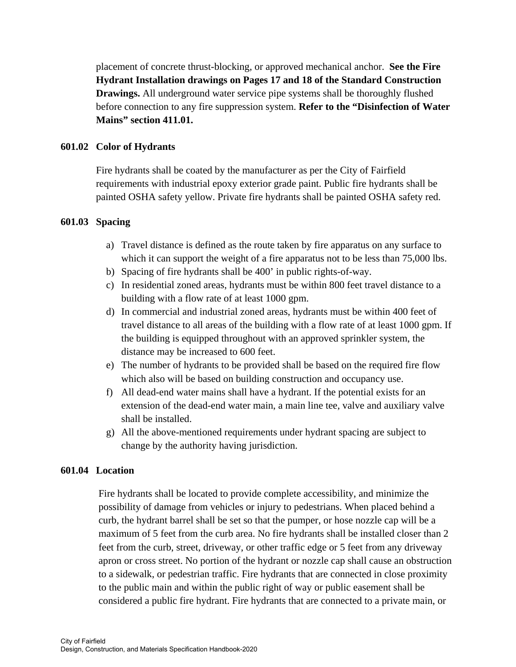placement of concrete thrust-blocking, or approved mechanical anchor. **See the Fire Hydrant Installation drawings on Pages 17 and 18 of the Standard Construction Drawings.** All underground water service pipe systems shall be thoroughly flushed before connection to any fire suppression system. **Refer to the "Disinfection of Water Mains" section 411.01.** 

# **601.02 Color of Hydrants**

 Fire hydrants shall be coated by the manufacturer as per the City of Fairfield requirements with industrial epoxy exterior grade paint. Public fire hydrants shall be painted OSHA safety yellow. Private fire hydrants shall be painted OSHA safety red.

### **601.03 Spacing**

- a) Travel distance is defined as the route taken by fire apparatus on any surface to which it can support the weight of a fire apparatus not to be less than 75,000 lbs.
- b) Spacing of fire hydrants shall be 400' in public rights-of-way.
- c) In residential zoned areas, hydrants must be within 800 feet travel distance to a building with a flow rate of at least 1000 gpm.
- d) In commercial and industrial zoned areas, hydrants must be within 400 feet of travel distance to all areas of the building with a flow rate of at least 1000 gpm. If the building is equipped throughout with an approved sprinkler system, the distance may be increased to 600 feet.
- e) The number of hydrants to be provided shall be based on the required fire flow which also will be based on building construction and occupancy use.
- f) All dead-end water mains shall have a hydrant. If the potential exists for an extension of the dead-end water main, a main line tee, valve and auxiliary valve shall be installed.
- g) All the above-mentioned requirements under hydrant spacing are subject to change by the authority having jurisdiction.

### **601.04 Location**

Fire hydrants shall be located to provide complete accessibility, and minimize the possibility of damage from vehicles or injury to pedestrians. When placed behind a curb, the hydrant barrel shall be set so that the pumper, or hose nozzle cap will be a maximum of 5 feet from the curb area. No fire hydrants shall be installed closer than 2 feet from the curb, street, driveway, or other traffic edge or 5 feet from any driveway apron or cross street. No portion of the hydrant or nozzle cap shall cause an obstruction to a sidewalk, or pedestrian traffic. Fire hydrants that are connected in close proximity to the public main and within the public right of way or public easement shall be considered a public fire hydrant. Fire hydrants that are connected to a private main, or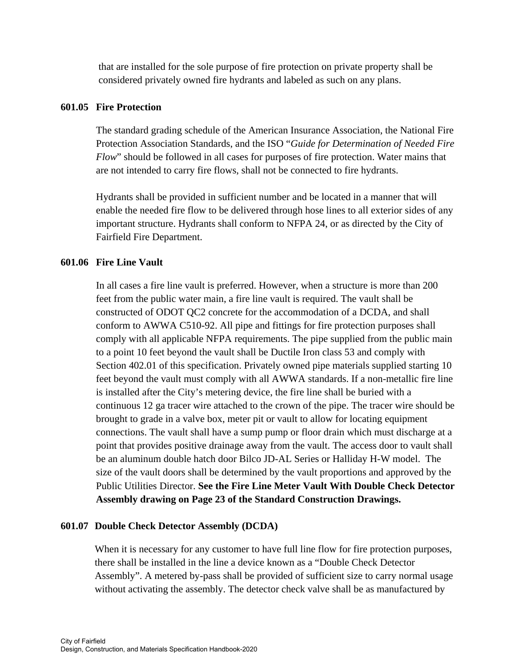that are installed for the sole purpose of fire protection on private property shall be considered privately owned fire hydrants and labeled as such on any plans.

### **601.05 Fire Protection**

 The standard grading schedule of the American Insurance Association, the National Fire Protection Association Standards, and the ISO "*Guide for Determination of Needed Fire Flow*" should be followed in all cases for purposes of fire protection. Water mains that are not intended to carry fire flows, shall not be connected to fire hydrants.

 Hydrants shall be provided in sufficient number and be located in a manner that will enable the needed fire flow to be delivered through hose lines to all exterior sides of any important structure. Hydrants shall conform to NFPA 24, or as directed by the City of Fairfield Fire Department.

### **601.06 Fire Line Vault**

 In all cases a fire line vault is preferred. However, when a structure is more than 200 feet from the public water main, a fire line vault is required. The vault shall be constructed of ODOT QC2 concrete for the accommodation of a DCDA, and shall conform to AWWA C510-92. All pipe and fittings for fire protection purposes shall comply with all applicable NFPA requirements. The pipe supplied from the public main to a point 10 feet beyond the vault shall be Ductile Iron class 53 and comply with Section 402.01 of this specification. Privately owned pipe materials supplied starting 10 feet beyond the vault must comply with all AWWA standards. If a non-metallic fire line is installed after the City's metering device, the fire line shall be buried with a continuous 12 ga tracer wire attached to the crown of the pipe. The tracer wire should be brought to grade in a valve box, meter pit or vault to allow for locating equipment connections. The vault shall have a sump pump or floor drain which must discharge at a point that provides positive drainage away from the vault. The access door to vault shall be an aluminum double hatch door Bilco JD-AL Series or Halliday H-W model. The size of the vault doors shall be determined by the vault proportions and approved by the Public Utilities Director. **See the Fire Line Meter Vault With Double Check Detector Assembly drawing on Page 23 of the Standard Construction Drawings.** 

#### **601.07 Double Check Detector Assembly (DCDA)**

 When it is necessary for any customer to have full line flow for fire protection purposes, there shall be installed in the line a device known as a "Double Check Detector Assembly". A metered by-pass shall be provided of sufficient size to carry normal usage without activating the assembly. The detector check valve shall be as manufactured by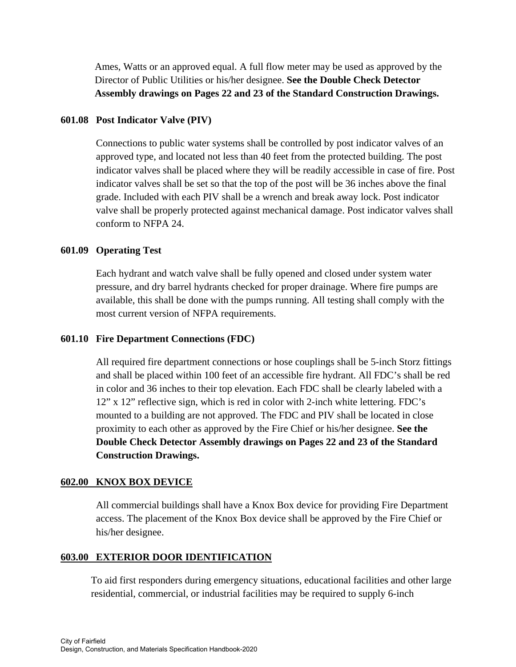Ames, Watts or an approved equal. A full flow meter may be used as approved by the Director of Public Utilities or his/her designee. **See the Double Check Detector Assembly drawings on Pages 22 and 23 of the Standard Construction Drawings.** 

# **601.08 Post Indicator Valve (PIV)**

 Connections to public water systems shall be controlled by post indicator valves of an approved type, and located not less than 40 feet from the protected building. The post indicator valves shall be placed where they will be readily accessible in case of fire. Post indicator valves shall be set so that the top of the post will be 36 inches above the final grade. Included with each PIV shall be a wrench and break away lock. Post indicator valve shall be properly protected against mechanical damage. Post indicator valves shall conform to NFPA 24.

# **601.09 Operating Test**

 Each hydrant and watch valve shall be fully opened and closed under system water pressure, and dry barrel hydrants checked for proper drainage. Where fire pumps are available, this shall be done with the pumps running. All testing shall comply with the most current version of NFPA requirements.

# **601.10 Fire Department Connections (FDC)**

All required fire department connections or hose couplings shall be 5-inch Storz fittings and shall be placed within 100 feet of an accessible fire hydrant. All FDC's shall be red in color and 36 inches to their top elevation. Each FDC shall be clearly labeled with a 12" x 12" reflective sign, which is red in color with 2-inch white lettering. FDC's mounted to a building are not approved. The FDC and PIV shall be located in close proximity to each other as approved by the Fire Chief or his/her designee. **See the Double Check Detector Assembly drawings on Pages 22 and 23 of the Standard Construction Drawings.** 

### **602.00 KNOX BOX DEVICE**

All commercial buildings shall have a Knox Box device for providing Fire Department access. The placement of the Knox Box device shall be approved by the Fire Chief or his/her designee.

# **603.00 EXTERIOR DOOR IDENTIFICATION**

 To aid first responders during emergency situations, educational facilities and other large residential, commercial, or industrial facilities may be required to supply 6-inch